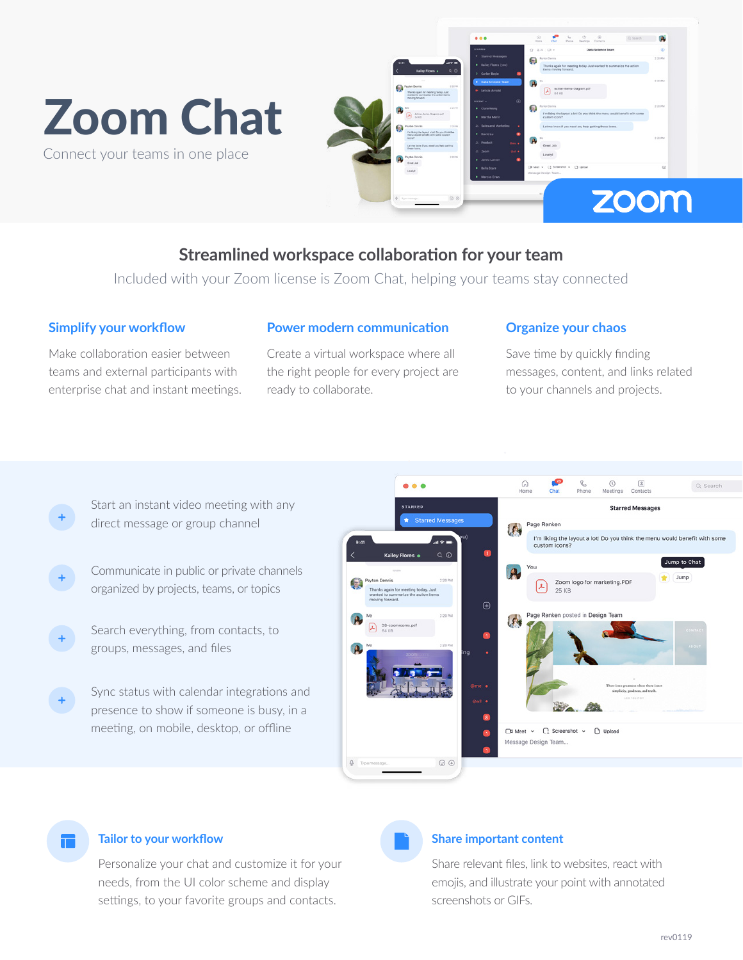# Zoom Chat

Connect your teams in one place



# **Streamlined workspace collaboration for your team**

Included with your Zoom license is Zoom Chat, helping your teams stay connected

## **Simplify your workflow**

Make collaboration easier between teams and external participants with enterprise chat and instant meetings.

## **Power modern communication**

Create a virtual workspace where all the right people for every project are ready to collaborate.

## **Organize your chaos**

Save time by quickly finding messages, content, and links related to your channels and projects.

- Start an instant video meeting with any direct message or group channel
- Communicate in public or private channels organized by projects, teams, or topics
- Search everything, from contacts, to groups, messages, and files
- Sync status with calendar integrations and presence to show if someone is busy, in a meeting, on mobile, desktop, or offline



### **Tailor to your workflow**

ш

Personalize your chat and customize it for your needs, from the UI color scheme and display settings, to your favorite groups and contacts.



# **Share important content**

Share relevant files, link to websites, react with emojis, and illustrate your point with annotated screenshots or GIFs.